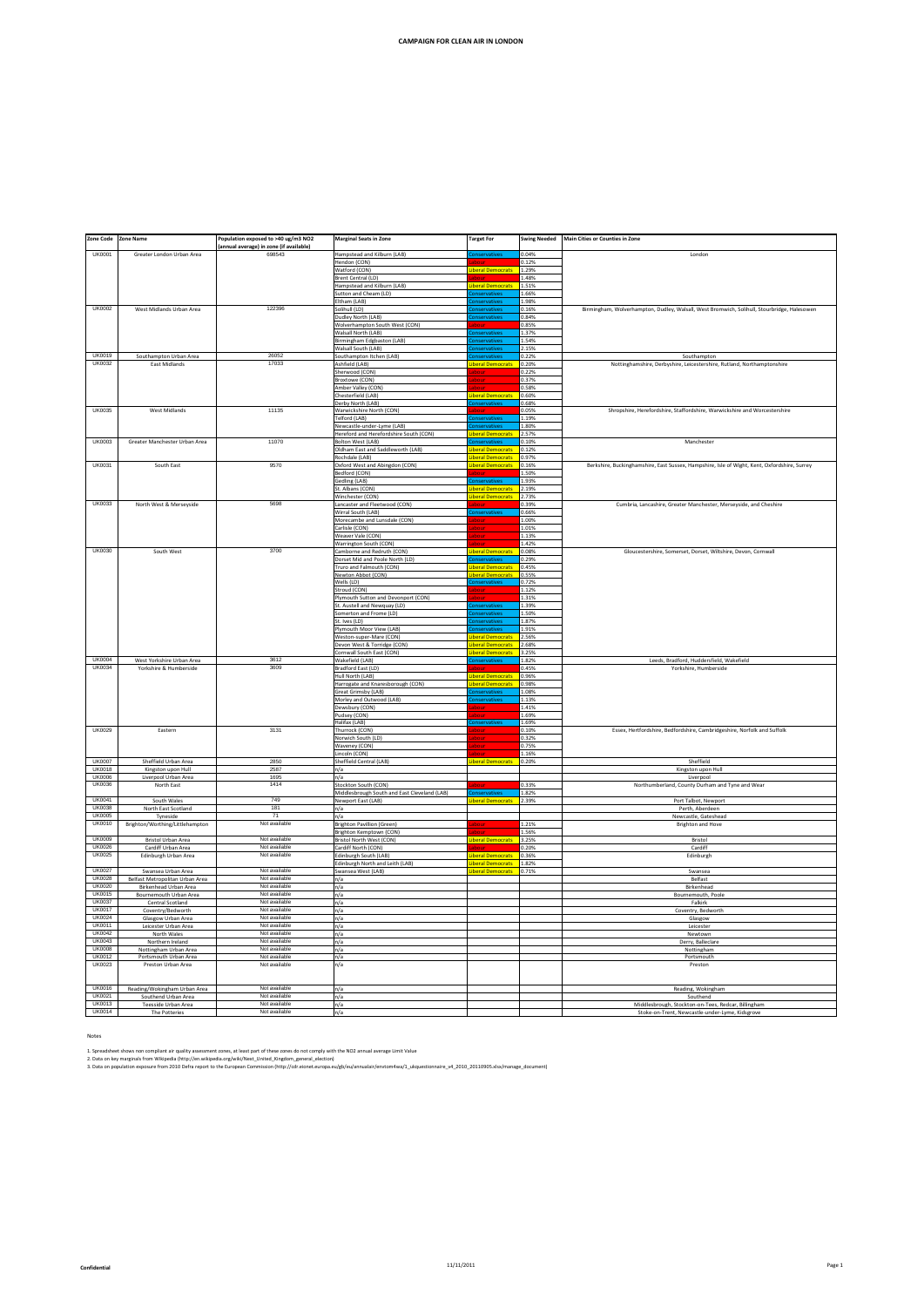| Zone Code                      | <b>Zone Name</b>                                       | opulation exposed to >40 ug/m3 NO2     | <b>Marginal Seats in Zone</b>                                       | arget For                                 | wing Needed    | <b>Main Cities or Counties in Zone</b>                                                       |
|--------------------------------|--------------------------------------------------------|----------------------------------------|---------------------------------------------------------------------|-------------------------------------------|----------------|----------------------------------------------------------------------------------------------|
|                                |                                                        | annual average) in zone (if available) |                                                                     |                                           |                |                                                                                              |
| <b>UK0001</b>                  | Greater London Urban Area                              | 698543                                 | Hampstead and Kilburn (LAB)<br>lendon (CON)                         |                                           | 0.04%<br>0.12% | London                                                                                       |
|                                |                                                        |                                        | Watford (CON)                                                       | <b>beral Democrats</b>                    | 1.29%          |                                                                                              |
|                                |                                                        |                                        | Brent Central (LD)                                                  |                                           | 1.48%          |                                                                                              |
|                                |                                                        |                                        | Hampstead and Kilburn (LAB)                                         | <b>ral Democrat</b>                       | 1.51%          |                                                                                              |
|                                |                                                        |                                        | Sutton and Cheam (LD)<br>Eltham (LAB)                               |                                           | .66%<br>1.98%  |                                                                                              |
| <b>UK0002</b>                  | West Midlands Urban Area                               | 122396                                 | Solihull (LD)                                                       |                                           | 1.6%           | Birmingham, Wolverhampton, Dudley, Walsall, West Bromwich, Solihull, Stourbridge, Halesowen  |
|                                |                                                        |                                        | Dudley North (LAB)                                                  |                                           | 0.84%          |                                                                                              |
|                                |                                                        |                                        | Wolverhampton South West (CON)                                      |                                           | 1.85%          |                                                                                              |
|                                |                                                        |                                        | Walsall North (LAB)<br>sirmingham Edgbaston (LAB)                   |                                           | .37%           |                                                                                              |
|                                |                                                        |                                        | Walsall South (LAB)                                                 |                                           | .54%<br>2.15%  |                                                                                              |
| <b>LIK0019</b>                 | Southampton Urban Area                                 | 26052                                  | Southampton Itchen (LAB)                                            |                                           | 0.22%          | Southampton                                                                                  |
| <b>UK0032</b>                  | East Midlands                                          | 17033                                  | Ashfield (LAB)                                                      | <b>eral Democrats</b>                     | 0.20%          | Nottinghamshire, Derbyshire, Leicestershire, Rutland, Northamptonshire                       |
|                                |                                                        |                                        | Sherwood (CON)<br>Broxtowe (CON)                                    |                                           | 0.22%<br>0.37% |                                                                                              |
|                                |                                                        |                                        | Amber Valley (CON)                                                  |                                           | 0.58%          |                                                                                              |
|                                |                                                        |                                        | Chesterfield (LAR)                                                  | ral Democrats                             | 0.60%          |                                                                                              |
| <b>UK0035</b>                  | West Midlands                                          | 11135                                  | Derby North (LAB)                                                   |                                           | 0.68%          | Shropshire, Herefordshire, Staffordshire, Warwickshire and Worcestershire                    |
|                                |                                                        |                                        | Warwickshire North (CON)<br>Telford (LAB)                           |                                           | 0.05%<br>1.19% |                                                                                              |
|                                |                                                        |                                        | Newcastle-under-Lyme (LAB)                                          |                                           | 1.80%          |                                                                                              |
|                                |                                                        |                                        | Hereford and Herefordshire South (CON)                              | eral Democrats                            | 2.57%          |                                                                                              |
| <b>UK0003</b>                  | Greater Manchester Urban Area                          | 11070                                  | Bolton West (LAB)<br>Oldham East and Saddleworth (LAB)              |                                           | 0.10%<br>0.12% | Manchester                                                                                   |
|                                |                                                        |                                        | tochdale (LAB)                                                      | peral Democrats<br>eral Democrats         | 0.97%          |                                                                                              |
| UK0031                         | South East                                             | 9570                                   | Oxford West and Abingdon (CON)                                      | beral Democrats                           | 0.16%          | Berkshire, Buckinghamshire, East Sussex, Hampshire, Isle of Wight, Kent, Oxfordshire, Surrey |
|                                |                                                        |                                        | Bedford (CON)                                                       |                                           | .50%           |                                                                                              |
|                                |                                                        |                                        | Gedling (LAB)                                                       | eral Democrats                            | 1.93%          |                                                                                              |
|                                |                                                        |                                        | St. Albans (CON)<br>Winchester (CON)                                | beral Democrats                           | 2.19%<br>2.73% |                                                                                              |
| <b>UK0033</b>                  | North West & Merseyside                                | 5698                                   | Lancaster and Fleetwood (CON)                                       |                                           | 1.39%          | Cumbria, Lancashire, Greater Manchester, Merseyside, and Cheshire                            |
|                                |                                                        |                                        | Wirral South (LAB)                                                  |                                           | 1.66%          |                                                                                              |
|                                |                                                        |                                        | Morecambe and Lunsdale (CON)<br>Carlisle (CON)                      |                                           | 1.00%<br>1.01% |                                                                                              |
|                                |                                                        |                                        | Weaver Vale (CON)                                                   |                                           | 1.13%          |                                                                                              |
|                                |                                                        |                                        | Warrington South (CON)                                              |                                           | 1.42%          |                                                                                              |
| <b>UK0030</b>                  | South West                                             | 3700                                   | Camborne and Redruth (CON)                                          | eral Democrats                            | 0.08%          | Gloucestershire, Somerset, Dorset, Wiltshire, Devon, Cornwall                                |
|                                |                                                        |                                        | Dorset Mid and Poole North (LD)<br>Truro and Falmouth (CON)         |                                           | 1.29%<br>0.45% |                                                                                              |
|                                |                                                        |                                        | Newton Abbot (CON)                                                  |                                           | 0.55%          |                                                                                              |
|                                |                                                        |                                        | Wells (LD)                                                          |                                           | 0.72%          |                                                                                              |
|                                |                                                        |                                        | Stroud (CON)                                                        |                                           | 1.12%          |                                                                                              |
|                                |                                                        |                                        | Plymouth Sutton and Devonport (CON)<br>St. Austell and Newquay (LD) |                                           | 1.31%<br>1.39% |                                                                                              |
|                                |                                                        |                                        | Somerton and Frome (LD)                                             |                                           | 1.50%          |                                                                                              |
|                                |                                                        |                                        | St. Ives (LD)                                                       |                                           | 1.87%          |                                                                                              |
|                                |                                                        |                                        | Plymouth Moor View (LAB)                                            | :rvath                                    | 1.91%          |                                                                                              |
|                                |                                                        |                                        | Weston-super-Mare (CON)<br>Devon West & Torridge (CON)              | eral Democrats<br>beral Democrats         | 2.56%<br>2.68% |                                                                                              |
|                                |                                                        |                                        | Cornwall South East (CON)                                           |                                           | 3.25%          |                                                                                              |
| <b>UK0004</b>                  | West Yorkshire Urban Area                              | 3612                                   | Wakefield (LAB)                                                     |                                           | 1.82%          | Leeds, Bradford, Huddersfield, Wakefield                                                     |
| <b>UK0034</b>                  | Yorkshire & Humberside                                 | 3609                                   | Bradford East (LD)                                                  |                                           | 0.45%          | Yorkshire, Humberside                                                                        |
|                                |                                                        |                                        | Hull North (LAB)<br>Harrogate and Knaresborough (CON)               | beral Democrats                           | 0.96%<br>0.98% |                                                                                              |
|                                |                                                        |                                        | Great Grimsby (LAB)                                                 |                                           | 1.08%          |                                                                                              |
|                                |                                                        |                                        | Morley and Outwood (LAB)                                            |                                           | 1.13%          |                                                                                              |
|                                |                                                        |                                        | Dewsbury (CON)<br>Pudsey (CON)                                      |                                           | 1.41%<br>1.69% |                                                                                              |
|                                |                                                        |                                        | Halifax (LAB)                                                       |                                           | 1.69%          |                                                                                              |
| <b>UK0029</b>                  | Eastern                                                | 3131                                   | Thurrock (CON)                                                      |                                           | 0.10%          | Essex, Hertfordshire, Bedfordshire, Cambridgeshire, Norfolk and Suffolk                      |
|                                |                                                        |                                        | Norwich South (LD)                                                  |                                           | 0.32%<br>0.75% |                                                                                              |
|                                |                                                        |                                        | Waveney (CON)<br>Lincoln (CON)                                      |                                           | 1.16%          |                                                                                              |
| <b>UK0007</b>                  | Sheffield Urban Area                                   | 2850                                   | Sheffield Central (LAB)                                             | <b>iberal Democrats</b>                   | 0.20%          | Sheffield                                                                                    |
| <b>UK0018</b>                  | Kingston upon Hull                                     | 2587                                   | n/a                                                                 |                                           |                | Kingston upon Hull                                                                           |
| <b>UK0006</b><br><b>UK0036</b> | Liverpool Urban Area<br>North East                     | 1695<br>1414                           | n/a<br>Stockton South (CON)                                         |                                           | 0.33%          | Liverpool<br>Northumberland, County Durham and Tyne and Wear                                 |
|                                |                                                        |                                        | Middlesbrough South and East Cleveland (LAB)                        |                                           | 1.82%          |                                                                                              |
| <b>UK0041</b>                  | South Wales                                            | 749                                    | Newport East (LAB)                                                  | eral Democrats 2.39%                      |                | Port Talbot, Newport                                                                         |
| <b>UK0038</b>                  | North East Scotland                                    | 181                                    | n/a                                                                 |                                           |                | Perth, Aberdeen                                                                              |
| <b>UK0005</b><br><b>UK0010</b> | Tyneside<br>Brighton/Worthing/Littlehampton            | 71<br>Not available                    | n/a<br><b>Brighton Pavillion (Green)</b>                            |                                           | 1.21%          | Newcastle, Gateshead<br><b>Brighton and Hove</b>                                             |
|                                |                                                        |                                        | Brighton Kemptown (CON)                                             |                                           | 1.56%          |                                                                                              |
| <b>UK0009</b>                  | <b>Bristol Urban Area</b>                              | Not available                          | Bristol North West (CON)                                            | beral Democrats                           | 3.25%          | Bristol                                                                                      |
| <b>UK0026</b><br><b>UK0025</b> | Cardiff Urban Area                                     | Not available<br>Not available         | Cardiff North (CON)                                                 |                                           | 0.20%          | Cardiff                                                                                      |
|                                | Edinburgh Urban Area                                   |                                        | Edinburgh South (LAB)<br>dinburgh North and Leith (LAB)             | <b>beral Democrats</b><br>beral Democrats | 0.36%<br>1.82% | Edinburgh                                                                                    |
| <b>LIK0027</b>                 | Swansea Urban Area                                     | Not available                          | Swansea West (LAB)                                                  | iberal Democrats 0.71%                    |                | Swansea                                                                                      |
| LIK0028                        | Belfast Metropolitan Urban Area                        | Not available                          | n/a                                                                 |                                           |                | Belfast                                                                                      |
| LIK0020<br><b>UK0015</b>       | Birkenhead Urban Area<br><b>Bournemouth Urban Area</b> | Not available<br>Not available         | n/a<br>n/a                                                          |                                           |                | Birkenhead<br>Bournemouth, Pool                                                              |
| <b>UK0037</b>                  | Central Scotland                                       | Not available                          | n/a                                                                 |                                           |                | Falkirk                                                                                      |
| <b>UK0017</b>                  | Coventry/Bedworth                                      | Not available                          | n/a                                                                 |                                           |                | Coventry, Bedworth                                                                           |
| <b>UK0024</b>                  | Glasgow Urban Area                                     | Not available                          | n/a                                                                 |                                           |                | Glasgow                                                                                      |
| <b>UK0011</b><br><b>UK0042</b> | Leicester Urban Area<br>North Wales                    | Not available<br>Not available         | n/a<br>n/a                                                          |                                           |                | Leicester<br>Newtown                                                                         |
| <b>UK0043</b>                  | Northern Ireland                                       | Not available                          | n/a                                                                 |                                           |                | Derry, Balleclare                                                                            |
| <b>UK0008</b>                  | Nottingham Urban Area                                  | Not available                          | n/a                                                                 |                                           |                | Nottingham                                                                                   |
| <b>UK0012</b><br><b>UK0023</b> | Portsmouth Urban Area                                  | Not available                          | n/a                                                                 |                                           |                | Portsmouth                                                                                   |
|                                | Preston Urban Area                                     | Not available                          | n/a                                                                 |                                           |                | Preston                                                                                      |
| <b>UK0016</b>                  | Reading/Wokingham Urban Area                           | Not available                          | n/a                                                                 |                                           |                | Reading, Wokingham                                                                           |
| <b>UK0021</b><br><b>UK0013</b> | Southend Urban Area<br><b>Teesside Urban Area</b>      | Not available<br>Not available         | n/a<br>n/a                                                          |                                           |                | Southend<br>Middlesbrough, Stockton-on-Tees, Redcar, Billingham                              |
| <b>UK0014</b>                  | The Potteries                                          | Not available                          | n/a                                                                 |                                           |                | Stoke-on-Trent, Newcastle-under-Lyme, Kidsgrove                                              |
|                                |                                                        |                                        |                                                                     |                                           |                |                                                                                              |

**CAMPAIGN FOR CLEAN AIR IN LONDON**

Notes

1. Spreadsheet shows non compliant air quality assessment zones, at least part of these zones do not comply with the NO2 annual average Limit Value<br>2. Data on key marginals formation of the Marginal States and the States o